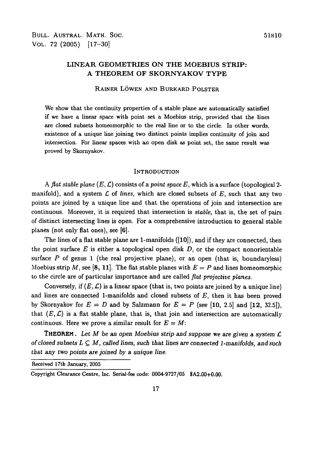# LINEAR GEOMETRIES ON THE MOEBIUS STRIP: A THEOREM OF SKORNYAKOV TYPE

## RAINER LOWEN AND BURKARD POLSTER

We show that the continuity properties of a stable plane are automatically satisfied if we have a linear space with point set a Moebius strip, provided that the lines are closed subsets homeomorphic to the real line or to the circle. In other words, existence of a unique line joining two distinct points implies continuity of join and intersection. For linear spaces with an open disk as point set, the same result was proved by Skornyakov.

#### **INTRODUCTION**

A flat stable plane  $(E, \mathcal{L})$  consists of a point space E, which is a surface (topological 2manifold), and a system *C* of *lines,* which are closed subsets of *E,* such that any two points are joined by a unique line and that the operations of join and intersection are continuous. Moreover, it is required that intersection is *stable,* that is, the set of pairs of distinct intersecting lines is open. For a comprehensive introduction to general stable planes (not only flat ones), see [6].

The lines of a flat stable plane are 1-manifolds ([10]), and if they are connected, then the point surface *E* is either a topological open disk *D,* or the compact nonorientable surface *P* of genus 1 (the real projective plane), or an open (that is, boundaryless) Moebius strip M, see [8, 11]. The flat stable planes with  $E = P$  and lines homeomorphic to the circle are of particular importance and are called *flat projective planes.*

Conversely, if  $(E, \mathcal{L})$  is a linear space (that is, two points are joined by a unique line) and lines are connected 1-manifolds and closed subsets of *E,* then it has been proved by Skornyakov for  $E = D$  and by Salzmann for  $E = P$  (see [10, 2.5] and [12, 32.5]). that  $(E, \mathcal{L})$  is a flat stable plane, that is, that join and intersection are automatically continuous. Here we prove a similar result for  $E = M$ :

THEOREM. *Let M be* an *open Moebius strip and suppose* we are given a *system £ of closed subsets*  $L \subseteq M$ *, called lines, such that lines are connected 1-manifolds, and such that any two points are joined by a unique line.*

Received 17th January, 2005

Copyright Clearance Centre, Inc. Serial-fee code: 0004-9727/05 SA2.00+0.00.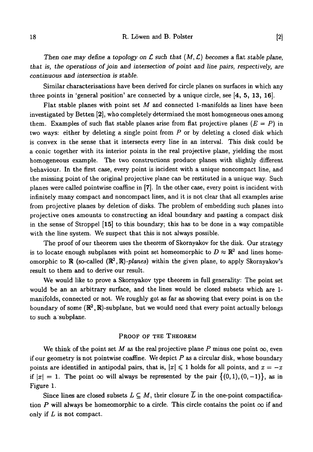*Then one may define a topology on L such that* (M, £) *becomes a* flat *stable plane, that is, the operations of join and intersection of point and line pairs, respectively, are continuous and intersection is stable.*

Similar characterisations have been derived for circle planes on surfaces in which any three points in 'general position' are connected by a unique circle, see  $[4, 5, 13, 16]$ .

Flat stable planes with point set *M* and connected 1-manifolds as lines have been investigated by Betten [2], who completely determined the most homogeneous ones among them. Examples of such flat stable planes arise from flat projective planes  $(E = P)$  in two ways: either by deleting a single point from *P* or by deleting a closed disk which is convex in the sense that it intersects every line in an interval. This disk could be a conic together with its interior points in the real projective plane, yielding the most homogeneous example. The two constructions produce planes with slightly different behaviour. In the first case, every point is incident with a unique noncompact line, and the missing point of the original projective plane can be restituted in a unique way. Such planes were called pointwise coaffine in [7]. In the other case, every point is incident with infinitely many compact and noncompact lines, and it is not clear that all examples arise from projective planes by deletion of disks. The problem of embedding such planes into projective ones amounts to constructing an ideal boundary and pasting a compact disk in the sense of Stroppel [15] to this boundary; this has to be done in a way compatible with the line system. We suspect that this is not always possible.

The proof of our theorem uses the theorem of Skornyakov for the disk. Our strategy is to locate enough subplanes with point set homeomorphic to  $D \approx \mathbb{R}^2$  and lines homeomorphic to  $\mathbb R$  (so-called  $(\mathbb R^2, \mathbb R)$ *-planes*) within the given plane, to apply Skornyakov's result to them and to derive our result.

We would like to prove a Skornyakov type theorem in full generality: The point set would be an an arbitrary surface, and the lines would be closed subsets which are 1 manifolds, connected or not. We roughly got as far as showing that every point is on the boundary of some  $(\mathbb{R}^2, \mathbb{R})$ -subplane, but we would need that every point actually belongs to such a subplane.

### PROOF OF THE THEOREM

We think of the point set M as the real projective plane P minus one point  $\infty$ , even if our geometry is not pointwise coaffine. We depict *P* as a circular disk, whose boundary points are identified in antipodal pairs, that is,  $|x| \leq 1$  holds for all points, and  $x = -x$ if  $|x| = 1$ . The point  $\infty$  will always be represented by the pair  $\{(0,1), (0,-1)\}\)$ , as in Figure 1.

Since lines are closed subsets  $L \subseteq M$ , their closure  $\overline{L}$  in the one-point compactification P will always be homeomorphic to a circle. This circle contains the point  $\infty$  if and only if *L* is not compact.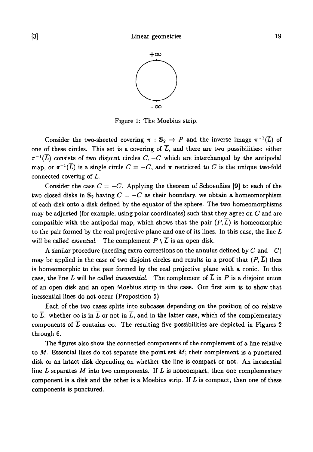

Figure 1: The Moebius strip.

Consider the two-sheeted covering  $\pi : \mathbb{S}_2 \to P$  and the inverse image  $\pi^{-1}(L)$  of one of these circles. This set is a covering of  $\overline{L}$ , and there are two possibilities: either  $\pi^{-1}(\overline{L})$  consists of two disjoint circles  $C,-C$  which are interchanged by the antipodal map, or  $\pi^{-1}(\overline{L})$  is a single circle  $C = -C$ , and  $\pi$  restricted to  $C$  is the unique two-fold connected covering of *L.*

Consider the case  $C = -C$ . Applying the theorem of Schoenflies [9] to each of the two closed disks in  $S_2$  having  $C = -C$  as their boundary, we obtain a homeomorphism of each disk onto a disk defined by the equator of the sphere. The two homeomorphisms may be adjusted (for example, using polar coordinates) such that they agree on *C* and are compatible with the antipodal map, which shows that the pair  $(P, \overline{L})$  is homeomorphic to the pair formed by the real projective plane and one of its lines. In this case, the line *L* will be called *essential*. The complement  $P \setminus \overline{L}$  is an open disk.

A similar procedure (needing extra corrections on the annulus defined by  $C$  and  $-C$ ) may be applied in the case of two disjoint circles and results in a proof that  $(P, \overline{L})$  then is homeomorphic to the pair formed by the real projective plane with a conic. In this case, the line L will be called *inessential*. The complement of  $\overline{L}$  in P is a disjoint union of an open disk and an open Moebius strip in this case. Our first aim is to show that inessential lines do not occur (Proposition 5).

Each of the two cases splits into subcases depending on the position of  $\infty$  relative to  $\overline{L}$ : whether  $\infty$  is in  $\overline{L}$  or not in  $\overline{L}$ , and in the latter case, which of the complementary components of  $\overline{L}$  contains  $\infty$ . The resulting five possibilities are depicted in Figures 2 through 6.

The figures also show the connected components of the complement of a line relative to  $M$ . Essential lines do not separate the point set  $M$ ; their complement is a punctured disk or an intact disk depending on whether the line is compact or not. An inessential line *L* separates *M* into two components. If *L* is noncompact, then one complementary component is a disk and the other is a Moebius strip. If *L* is compact, then one of these components is punctured.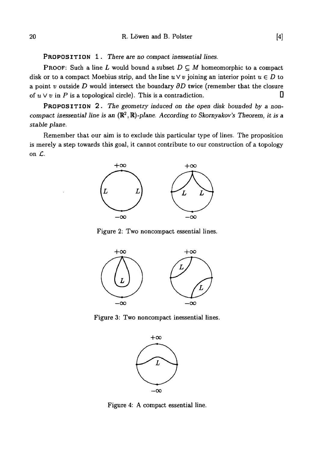PROPOSITION 1. *There are no compact inessential lines.*

PROOF: Such a line *L* would bound a subset *D C M* homeomorphic to a compact disk or to a compact Moebius strip, and the line  $u \vee v$  joining an interior point  $u \in D$  to a point *v* outside *D* would intersect the boundary *dD* twice (remember that the closure of  $u \vee v$  in P is a topological circle). This is a contradiction.

PROPOSITION 2. The geometry induced on the open disk bounded by a non*compact inessential line is an* (R2 *,R)-plane. According to Skornyakov's Theorem, it is a stable plane.*

Remember that our aim is to exclude this particular type of lines. The proposition is merely a step towards this goal, it cannot contribute to our construction of a topology on *C*



Figure 2: Two noncompact essential lines.



Figure 3: Two noncompact inessential lines.



Figure 4: A compact essential line.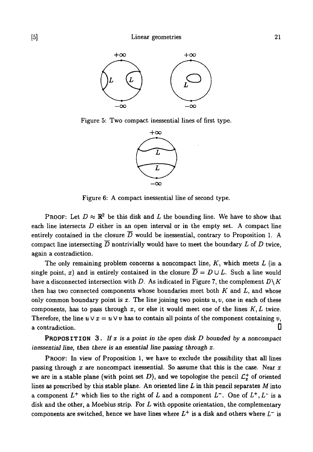

Figure 5: Two compact inessential lines of first type.



Figure 6: A compact inessential line of second type.

PROOF: Let  $D \approx \mathbb{R}^2$  be this disk and L the bounding line. We have to show that each line intersects  $D$  either in an open interval or in the empty set. A compact line entirely contained in the closure  $\overline{D}$  would be inessential, contrary to Proposition 1. A compact line intersecting  $\overline{D}$  nontrivially would have to meet the boundary  $L$  of  $D$  twice, again a contradiction.

The only remaining problem concerns a noncompact line, *K*, which meets *L* (in a single point, x) and is entirely contained in the closure  $\overline{D} = D \cup L$ . Such a line would have a disconnected intersection with *D.* As indicated in Figure 7, the complement *D\K* then has two connected components whose boundaries meet both *K* and *L,* and whose only common boundary point is  $x$ . The line joining two points  $u, v$ , one in each of these components, has to pass through *x,* or else it would meet one of the lines *K, L* twice. Therefore, the line  $u \vee x = u \vee v$  has to contain all points of the component containing  $v$ , a contradiction.

PROPOSITION 3 . *If x is* a *point in the open disk D bounded by* a *noncompact inessential line, then there is an essential line passing through x.*

PROOF: In view of Proposition 1, we have to exclude the possibility that all lines passing through *x* are noncompact inessential. So assume that this is the case. Near *x* we are in a stable plane (with point set  $D$ ), and we topologise the pencil  $\mathcal{L}^+_x$  of oriented lines as prescribed by this stable plane. An oriented line *L* in this pencil separates *M* into a component  $L^+$  which lies to the right of  $L$  and a component  $L^-$ . One of  $L^+, L^-$  is a disk and the other, a Moebius strip. For *L* with opposite orientation, the complementary components are switched, hence we have lines where  $L^+$  is a disk and others where  $L^-$  is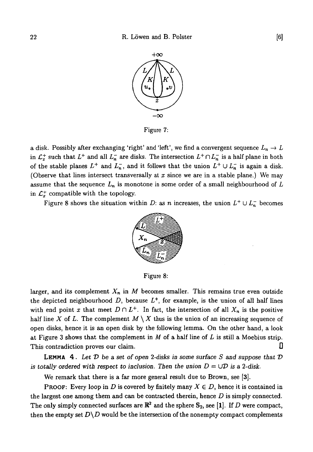

Figure 7:

a disk. Possibly after exchanging 'right' and 'left', we find a convergent sequence  $L_n \to L$ in  $\mathcal{L}_x^+$  such that  $L^+$  and all  $L_n^-$  are disks. The intersection  $L^+ \cap L_n^-$  is a half plane in both of the stable planes  $L^+$  and  $L_n^-$ , and it follows that the union  $L^+ \cup L_n^-$  is again a disk. (Observe that lines intersect transversally at *x* since we are in a stable plane.) We may assume that the sequence *Ln* is monotone in some order of a small neighbourhood of *L* in  $\mathcal{L}_x^+$  compatible with the topology.

Figure 8 shows the situation within *D*: as *n* increases, the union  $L^+ \cup L_n^-$  becomes



Figure 8:

larger, and its complement *Xn* in *M* becomes smaller. This remains true even outside the depicted neighbourhood  $D$ , because  $L^+$ , for example, is the union of all half lines with end point x that meet  $D \cap L^+$ . In fact, the intersection of all  $X_n$  is the positive half line X of L. The complement  $M \setminus X$  thus is the union of an increasing sequence of open disks, hence it is an open disk by the following lemma. On the other hand, a look at Figure 3 shows that the complement in *M* of a half line of *L* is still a Moebius strip. This contradiction proves our claim.

**LEMMA 4** . *Let V be a set of open 2-disks in some surface S and suppose that V is totally ordered with respect to inclusion. Then the union*  $D = \bigcup D$  *is a 2-disk.* 

We remark that there is a far more general result due to Brown, see [3].

**PROOF:** Every loop in D is covered by finitely many  $X \in D$ , hence it is contained in the largest one among them and can be contracted therein, hence *D* is simply connected. The only simply connected surfaces are  $\mathbb{R}^2$  and the sphere  $\mathbb{S}_2,$  see [1]. If  $D$  were compact, then the empty set  $D\ D$  would be the intersection of the nonempty compact complements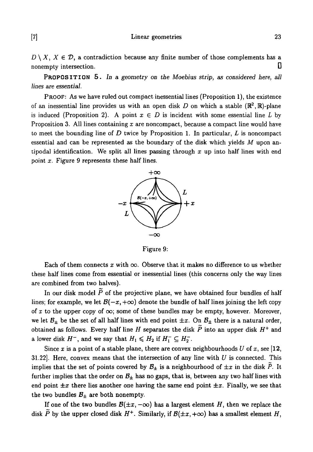[7] Linear geometries 23

 $D \setminus X$ ,  $X \in \mathcal{D}$ , a contradiction because any finite number of those complements has a nonempty intersection.  $\Box$ 

PROPOSITION 5 . In a *geometry on the Moebius strip,* as *considered here, all lines are essential.*

PROOF: AS we have ruled out compact inessential lines (Proposition 1), the existence of an inessential line provides us with an open disk  $D$  on which a stable  $(\mathbb{R}^2, \mathbb{R})$ -plane is induced (Proposition 2). A point  $x \in D$  is incident with some essential line L by Proposition 3. All lines containing *x* are noncompact, because a compact line would have to meet the bounding line of *D* twice by Proposition 1. In particular, *L* is noncompact essential and can be represented as the boundary of the disk which yields *M* upon antipodal identification. We split all lines passing through *x* up into half lines with end point *x.* Figure 9 represents these half lines.



Figure 9:

Each of them connects  $x$  with  $\infty$ . Observe that it makes no difference to us whether these half lines come from essential or inessential lines (this concerns only the way lines are combined from two halves).

In our disk model  $\tilde{P}$  of the projective plane, we have obtained four bundles of half lines; for example, we let  $B(-x, +\infty)$  denote the bundle of half lines joining the left copy of x to the upper copy of  $\infty$ ; some of these bundles may be empty, however. Moreover, we let  $B_{\pm}$  be the set of all half lines with end point  $\pm x$ . On  $B_{\pm}$  there is a natural order, obtained as follows. Every half line H separates the disk  $\widetilde{P}$  into an upper disk  $H^+$  and a lower disk  $H^-$ , and we say that  $H_1 \leq H_2$  if  $H_1^- \subseteq H_2^-$ .

Since x is a point of a stable plane, there are convex neighbourhoods U of x, see [12, 31.22]. Here, convex means that the intersection of any line with *U* is connected. This implies that the set of points covered by  $B_{\pm}$  is a neighbourhood of  $\pm x$  in the disk  $\tilde{P}$ . It further implies that the order on  $B_{\pm}$  has no gaps, that is, between any two half lines with end point  $\pm x$  there lies another one having the same end point  $\pm x$ . Finally, we see that the two bundles  $B_{\pm}$  are both nonempty.

If one of the two bundles  $B(\pm x, -\infty)$  has a largest element H, then we replace the disk  $\tilde{P}$  by the upper closed disk  $H^+$ . Similarly, if  $\mathcal{B}(\pm x, +\infty)$  has a smallest element  $H$ ,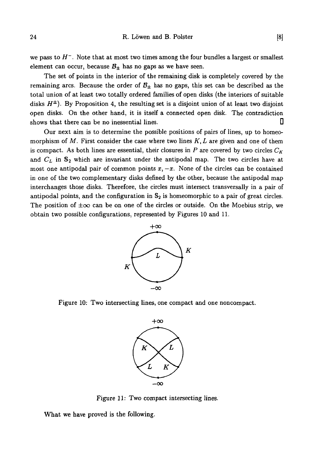we pass to  $H^-$ . Note that at most two times among the four bundles a largest or smallest element can occur, because  $B_{\pm}$  has no gaps as we have seen.

The set of points in the interior of the remaining disk is completely covered by the remaining arcs. Because the order of  $B_{\pm}$  has no gaps, this set can be described as the total union of at least two totally ordered families of open disks (the interiors of suitable disks  $H^{\pm}$ ). By Proposition 4, the resulting set is a disjoint union of at least two disjoint open disks. On the other hand, it is itself a connected open disk. The contradiction shows that there can be no inessential lines.

Our next aim is to determine the possible positions of pairs of lines, up to homeomorphism of *M.* First consider the case where two lines *K, L* are given and one of them is compact. As both lines are essential, their closures in  $P$  are covered by two circles  $C_K$ and  $C_L$  in  $S_2$  which are invariant under the antipodal map. The two circles have at most one antipodal pair of common points  $x, -x$ . None of the circles can be contained in one of the two complementary disks defined by the other, because the antipodal map interchanges those disks. Therefore, the circles must intersect transversally in a pair of antipodal points, and the configuration in  $S_2$  is homeomorphic to a pair of great circles. The position of  $\pm \infty$  can be on one of the circles or outside. On the Moebius strip, we obtain two possible configurations, represented by Figures 10 and 11.



Figure 10: Two intersecting lines, one compact and one noncompact.



Figure 11: Two compact intersecting lines.

What we have proved is the following.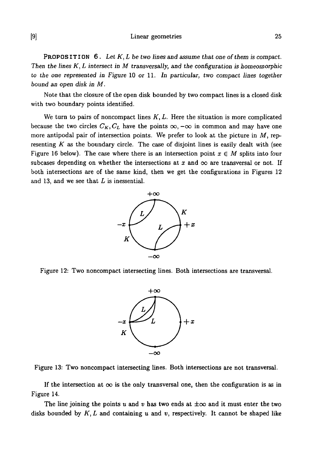[9] Linear geometries 25

PROPOSITION 6. Let K, L be two lines and assume that one of them is compact. *Then the lines K, L intersect in M transversally, and the configuration is homeomorphic to the one represented in Figure* 10 *or* 11. *In particular, two compact lines together bound an open disk in M.*

Note that the closure of the open disk bounded by two compact lines is a closed disk with two boundary points identified.

We turn to pairs of noncompact lines  $K, L$ . Here the situation is more complicated because the two circles  $C_K$ ,  $C_L$  have the points  $\infty$ ,  $-\infty$  in common and may have one more antipodal pair of intersection points. We prefer to look at the picture in  $M$ , representing *K* as the boundary circle. The case of disjoint lines is easily dealt with (see Figure 16 below). The case where there is an intersection point  $x \in M$  splits into four subcases depending on whether the intersections at  $x$  and  $\infty$  are transversal or not. If both intersections are of the same kind, then we get the configurations in Figures 12 and 13, and we see that *L* is inessential.



Figure 12: Two noncompact intersecting lines. Both intersections are transversal.



Figure 13: Two noncompact intersecting lines. Both intersections are not transversal.

If the intersection at  $\infty$  is the only transversal one, then the configuration is as in Figure 14.

The line joining the points  $u$  and  $v$  has two ends at  $\pm \infty$  and it must enter the two disks bounded by  $K, L$  and containing u and v, respectively. It cannot be shaped like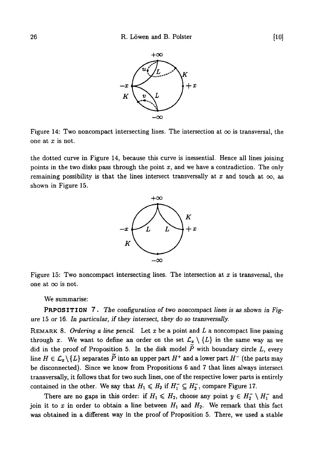

Figure 14: Two noncompact intersecting lines. The intersection at  $\infty$  is transversal, the one at *x* is not.

the dotted curve in Figure 14, because this curve is inessential. Hence all lines joining points in the two disks pass through the point  $x$ , and we have a contradiction. The only remaining possibility is that the lines intersect transversally at x and touch at  $\infty$ , as shown in Figure 15.



Figure 15: Two noncompact intersecting lines. The intersection at  $x$  is transversal, the one at  $\infty$  is not.

We summarise:

PRPOSITION 7 . Tie configuration *of two noncompact lines is as shown in Figure* 15 *or* 16. *In particular, if they intersect, they do so transversally.*

REMARK 8. *Ordering a line pencil.* Let x be a point and *L* a noncompact line passing through x. We want to define an order on the set  $\mathcal{L}_{x} \setminus \{L\}$  in the same way as we did in the proof of Proposition 5. In the disk model  $\tilde{P}$  with boundary circle  $L$ , every line  $H\in \mathcal{L}_{\pmb{x}}\backslash\{L\}$  separates  $\widetilde{P}$  into an upper part  $H^+$  and a lower part  $H^-$  (the parts may be disconnected). Since we know from Propositions 6 and 7 that lines always intersect transversally, it follows that for two such lines, one of the respective lower parts is entirely contained in the other. We say that  $H_1 \leq H_2$  if  $H_1^- \subseteq H_2^-$ , compare Figure 17.

There are no gaps in this order: if  $H_1 \leq H_2$ , choose any point  $y \in H_2^- \setminus H_1^-$  and join it to  $x$  in order to obtain a line between  $H_1$  and  $H_2$ . We remark that this fact was obtained in a different way in the proof of Proposition 5. There, we used a stable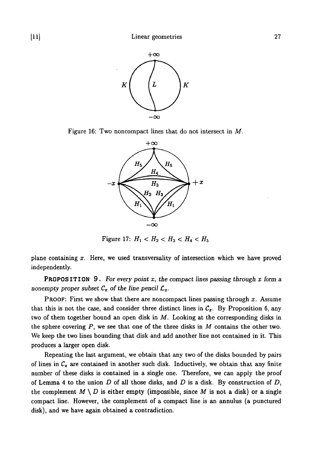

Figure 16: Two noncompact lines that do not intersect in *M.*



Figure 17:  $H_1 < H_2 < H_3 < H_4 < H_5$ 

plane containing x. Here, we used transversality of intersection which we have proved independently.

PROPOSITION 9 . *For every point x, the compact lines passing through x form* a nonempty proper subset  $C_x$  of the line pencil  $\mathcal{L}_x$ .

PROOF: First we show that there are noncompact lines passing through *x.* Assume that this is not the case, and consider three distinct lines in  $C_x$ . By Proposition 6, any two of them together bound an open disk in *M.* Looking at the corresponding disks in the sphere covering *P,* we see that one of the three disks in *M* contains the other two. We keep the two lines bounding that disk and add another line not contained in it. This produces a larger open disk.

Repeating the last argument, we obtain that any two of the disks bounded by pairs of lines in  $C_x$  are contained in another such disk. Inductively, we obtain that any finite number of these disks is contained in a single one. Therefore, we can apply the proof of Lemma 4 to the union *D* of all those disks, and *D* is a disk. By construction of *D,* the complement  $M \setminus D$  is either empty (impossible, since M is not a disk) or a single compact line. However, the complement of a compact line is an annulus (a punctured disk), and we have again obtained a contradiction.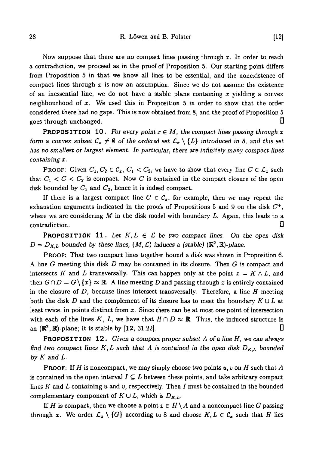Now suppose that there are no compact lines passing through *x.* In order to reach a contradiction, we proceed as in the proof of Proposition 5. Our starting point differs from Proposition 5 in that we know all lines to be essential, and the nonexistence of compact lines through  $x$  is now an assumption. Since we do not assume the existence of an inessential line, we do not have a stable plane containing *x* yielding a convex neighbourhood of  $x$ . We used this in Proposition 5 in order to show that the order considered there had no gaps. This is now obtained from 8, and the proof of Proposition 5 goes through unchanged.  $\Box$ 

**PROPOSITION** 10. For every point  $x \in M$ , the compact lines passing through x *form a convex subset*  $C_x \neq \emptyset$  *of the ordered set*  $\mathcal{L}_x \setminus \{L\}$  introduced in 8, and this set *has no smallest or largest element. In particular, there are infinitely many compact lines containing x.*

**PROOF:** Given  $C_1, C_2 \in C_x$ ,  $C_1 < C_2$ , we have to show that every line  $C \in \mathcal{L}_x$  such that  $C_1 < C < C_2$  is compact. Now C is contained in the compact closure of the open disk bounded by  $C_1$  and  $C_2$ , hence it is indeed compact.

If there is a largest compact line  $C \in \mathcal{C}_x$ , for example, then we may repeat the exhaustion arguments indicated in the proofs of Propositions 5 and 9 on the disk  $C^+$ , where we are considering *M* in the disk model with boundary *L.* Again, this leads to a contradiction.  $\Box$ 

**PROPOSITION 11.** Let  $K, L \in \mathcal{L}$  be two compact lines. On the open disk  $D = D_{K,L}$  bounded by these lines,  $(M, \mathcal{L})$  induces a (stable)  $(\mathbb{R}^2, \mathbb{R})$ -plane.

PROOF: That two compact lines together bound a disk was shown in Proposition 6. A line *G* meeting this disk *D* may be contained in its closure. Then *G* is compact and intersects K and L transversally. This can happen only at the point  $x = K \wedge L$ , and then  $G \cap D = G \setminus \{x\} \approx \mathbb{R}$ . A line meeting D and passing through x is entirely contained in the closure of *D,* because lines intersect transversally. Therefore, a line *H* meeting both the disk D and the complement of its closure has to meet the boundary  $K \cup L$  at least twice, in points distinct from *x.* Since there can be at most one point of intersection with each of the lines K, L, we have that  $H \cap D \approx \mathbb{R}$ . Thus, the induced structure is an  $(\mathbb{R}^2, \mathbb{R})$ -plane; it is stable by [12, 31.22].

PROPOSITION 12 . *Given a compact proper subset A of a line H, we can always find two compact lines K, L such that A is contained in the open disk*  $D_{K,L}$  *bounded by K and L.*

PROOF: If *H* is noncompact, we may simply choose two points *u, v* on *H* such that *A* is contained in the open interval  $I \subseteq L$  between these points, and take arbitrary compact lines *K* and *L* containing *u* and *v,* respectively. Then / must be contained in the bounded complementary component of  $K \cup L$ , which is  $D_{K,L}$ .

If *H* is compact, then we choose a point  $x \in H \setminus A$  and a noncompact line *G* passing through x. We order  $\mathcal{L}_x \setminus \{G\}$  according to 8 and choose  $K, L \in \mathcal{C}_x$  such that H lies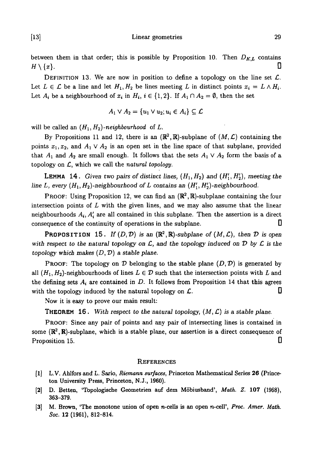[13] Linear geometries 29

between them in that order; this is possible by Proposition 10. Then  $D_{K,L}$  contains  $H\setminus\{x\}.$ 

DEFINITION 13. We are now in position to define a topology on the line set  $\mathcal{L}$ . Let  $L \in \mathcal{L}$  be a line and let  $H_1, H_2$  be lines meeting L in distinct points  $x_i = L \wedge H_i$ . Let  $A_i$  be a neighbourhood of  $x_i$  in  $H_i$ ,  $i \in \{1,2\}$ . If  $A_1 \cap A_2 = \emptyset$ , then the set

$$
A_1 \vee A_2 = \{u_1 \vee u_2; u_i \in A_i\} \subseteq \mathcal{L}
$$

will be called an  $(H_1, H_2)$ -neighbourhood of  $L$ .

By Propositions 11 and 12, there is an  $(\mathbb{R}^2, \mathbb{R})$ -subplane of  $(M, \mathcal{L})$  containing the points  $x_1, x_2$ , and  $A_1 \vee A_2$  is an open set in the line space of that subplane, provided that  $A_1$  and  $A_2$  are small enough. It follows that the sets  $A_1 \vee A_2$  form the basis of a topology on £, which we call the *natural topology.*

**LEMMA 14.** Given two pairs of distinct lines,  $(H_1, H_2)$  and  $(H'_1, H'_2)$ , meeting the line L, every  $(H_1, H_2)$ -neighbourhood of L contains an  $(H'_1, H'_2)$ -neighbourhood.

PROOF: Using Proposition 12, we can find an  $(\mathbb{R}^2, \mathbb{R})$ -subplane containing the four intersection points of *L* with the given lines, and we may also assume that the linear neighbourhoods  $A_i$ ,  $A'_i$  are all contained in this subplane. Then the assertion is a direct consequence of the continuity of operations in the subplane.  $\Box$ 

**PROPOSITION** 15. If  $(D, \mathcal{D})$  is an  $(\mathbb{R}^2, \mathbb{R})$ -subplane of  $(M, \mathcal{L})$ , then  $\mathcal{D}$  is open *with respect to the natural topology on*  $\mathcal{L}$ , and the topology induced on  $\mathcal{D}$  by  $\mathcal{L}$  is the *topology which makes (D, V)* a *stable plane.*

PROOF: The topology on  $D$  belonging to the stable plane  $(D, D)$  is generated by all  $(H_1, H_2)$ -neighbourhoods of lines  $L \in \mathcal{D}$  such that the intersection points with L and the defining sets *Ai* are contained in *D.* It follows from Proposition 14 that this agrees with the topology induced by the natural topology on  $\mathcal{L}$ .

Now it is easy to prove our main result:

**THEOREM 16.** With respect to the natural topology,  $(M, \mathcal{L})$  is a stable plane.

PROOF: Since any pair of points and any pair of intersecting lines is contained in some  $(\mathbb{R}^2, \mathbb{R})$ -subplane, which is a stable plane, our assertion is a direct consequence of Proposition 15. D

#### **REFERENCES**

- [1] L.V. Ahlfors and L. Sario, *Riemann surfaces,* Princeton Mathematical Series 26 (Princeton University Press, Princeton, N.J., 1960).
- [2] D. Betten, 'Topologische Geometrien auf dem Mobiusband', *Math. Z.* 107 (1968), 363-379.
- [3] M. Brown, 'The monotone union of open *n*-cells is an open *n*-cell', *Proc. Amer. Math. Soc.* 12 (1961), 812-814.